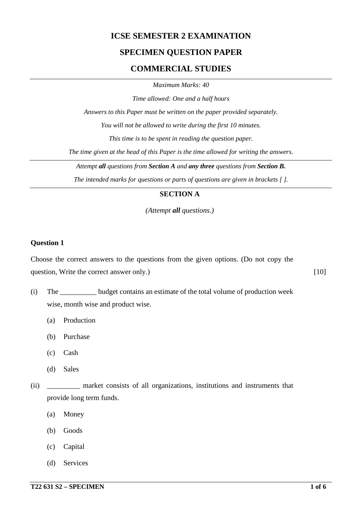## **ICSE SEMESTER 2 EXAMINATION**

### **SPECIMEN QUESTION PAPER**

### **COMMERCIAL STUDIES**

*Maximum Marks: 40*

*Time allowed: One and a half hours*

*Answers to this Paper must be written on the paper provided separately.*

*You will not be allowed to write during the first 10 minutes.*

*This time is to be spent in reading the question paper.*

*The time given at the head of this Paper is the time allowed for writing the answers.*

*Attempt all questions from Section A and any three questions from Section B.*

*The intended marks for questions or parts of questions are given in brackets [ ].*

#### **SECTION A**

*(Attempt all questions.)*

#### **Question 1**

Choose the correct answers to the questions from the given options. (Do not copy the question, Write the correct answer only.) [10]

(i) The \_\_\_\_\_\_\_\_\_\_ budget contains an estimate of the total volume of production week wise, month wise and product wise.

- (a) Production
- (b) Purchase
- (c) Cash
- (d) Sales

(ii) \_\_\_\_\_\_\_\_\_ market consists of all organizations, institutions and instruments that provide long term funds.

- (a) Money
- (b) Goods
- (c) Capital
- (d) Services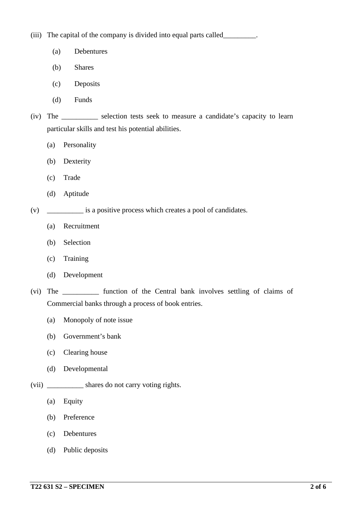(iii) The capital of the company is divided into equal parts called\_\_\_\_\_\_\_\_\_.

- (a) Debentures
- (b) Shares
- (c) Deposits
- (d) Funds
- (iv) The \_\_\_\_\_\_\_\_\_\_ selection tests seek to measure a candidate's capacity to learn particular skills and test his potential abilities.
	- (a) Personality
	- (b) Dexterity
	- (c) Trade
	- (d) Aptitude
- (v) \_\_\_\_\_\_\_\_\_\_ is a positive process which creates a pool of candidates.
	- (a) Recruitment
	- (b) Selection
	- (c) Training
	- (d) Development
- (vi) The \_\_\_\_\_\_\_\_\_\_ function of the Central bank involves settling of claims of Commercial banks through a process of book entries.
	- (a) Monopoly of note issue
	- (b) Government's bank
	- (c) Clearing house
	- (d) Developmental
- (vii) \_\_\_\_\_\_\_\_\_\_ shares do not carry voting rights.
	- (a) Equity
	- (b) Preference
	- (c) Debentures
	- (d) Public deposits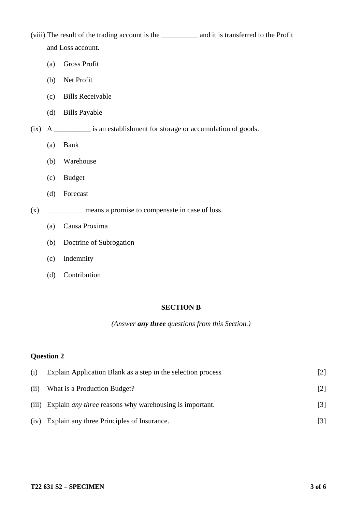(viii) The result of the trading account is the \_\_\_\_\_\_\_\_\_\_ and it is transferred to the Profit and Loss account.

- (a) Gross Profit
- (b) Net Profit
- (c) Bills Receivable
- (d) Bills Payable
- (ix) A \_\_\_\_\_\_\_\_\_\_ is an establishment for storage or accumulation of goods.
	- (a) Bank
	- (b) Warehouse
	- (c) Budget
	- (d) Forecast
- (x) \_\_\_\_\_\_\_\_ means a promise to compensate in case of loss.
	- (a) Causa Proxima
	- (b) Doctrine of Subrogation
	- (c) Indemnity
	- (d) Contribution

#### **SECTION B**

*(Answer any three questions from this Section.)*

#### **Question 2**

| (i)  | Explain Application Blank as a step in the selection process         |                   |
|------|----------------------------------------------------------------------|-------------------|
| (ii) | What is a Production Budget?                                         | $\lceil 2 \rceil$ |
|      | (iii) Explain <i>any three</i> reasons why warehousing is important. | $[3]$             |
|      | (iv) Explain any three Principles of Insurance.                      | $\lceil 3 \rceil$ |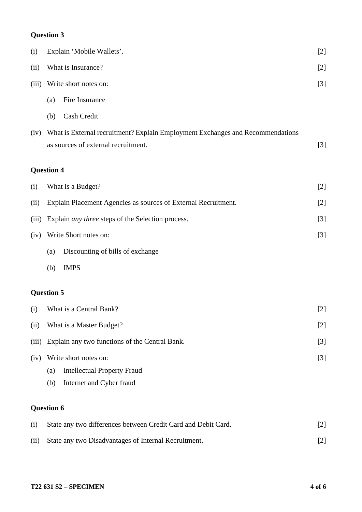# **Question 3**

| (i)   | Explain 'Mobile Wallets'.                                                      | $[2]$ |
|-------|--------------------------------------------------------------------------------|-------|
| (ii)  | What is Insurance?                                                             |       |
| (iii) | Write short notes on:                                                          | $[3]$ |
|       | Fire Insurance<br>(a)                                                          |       |
|       | Cash Credit<br>(b)                                                             |       |
| (iv)  | What is External recruitment? Explain Employment Exchanges and Recommendations |       |
|       | as sources of external recruitment.                                            | $[3]$ |
|       | <b>Question 4</b>                                                              |       |
| (i)   | What is a Budget?                                                              | $[2]$ |
| (ii)  | Explain Placement Agencies as sources of External Recruitment.                 |       |
| (iii) | Explain <i>any three</i> steps of the Selection process.                       |       |
| (iv)  | Write Short notes on:                                                          | $[3]$ |
|       | Discounting of bills of exchange<br>(a)                                        |       |
|       | <b>IMPS</b><br>(b)                                                             |       |
|       | <b>Question 5</b>                                                              |       |
| (i)   | What is a Central Bank?                                                        | $[2]$ |
| (ii)  | What is a Master Budget?                                                       |       |
| (iii) | Explain any two functions of the Central Bank.                                 |       |
| (iv)  | Write short notes on:                                                          | $[3]$ |
|       | <b>Intellectual Property Fraud</b><br>(a)                                      |       |
|       | Internet and Cyber fraud<br>(b)                                                |       |
|       | <b>Question 6</b>                                                              |       |
| (i)   | State any two differences between Credit Card and Debit Card.                  | $[2]$ |
| (ii)  | State any two Disadvantages of Internal Recruitment.                           | $[2]$ |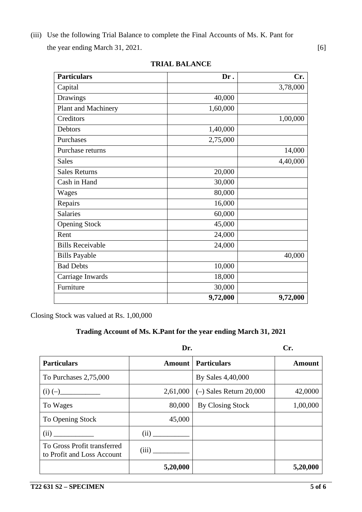(iii) Use the following Trial Balance to complete the Final Accounts of Ms. K. Pant for the year ending March 31, 2021. [6]

| <b>Particulars</b>      | Dr.      | Cr.      |
|-------------------------|----------|----------|
| Capital                 |          | 3,78,000 |
| Drawings                | 40,000   |          |
| Plant and Machinery     | 1,60,000 |          |
| Creditors               |          | 1,00,000 |
| Debtors                 | 1,40,000 |          |
| Purchases               | 2,75,000 |          |
| Purchase returns        |          | 14,000   |
| <b>Sales</b>            |          | 4,40,000 |
| <b>Sales Returns</b>    | 20,000   |          |
| Cash in Hand            | 30,000   |          |
| Wages                   | 80,000   |          |
| Repairs                 | 16,000   |          |
| <b>Salaries</b>         | 60,000   |          |
| <b>Opening Stock</b>    | 45,000   |          |
| Rent                    | 24,000   |          |
| <b>Bills Receivable</b> | 24,000   |          |
| <b>Bills Payable</b>    |          | 40,000   |
| <b>Bad Debts</b>        | 10,000   |          |
| Carriage Inwards        | 18,000   |          |
| Furniture               | 30,000   |          |
|                         | 9,72,000 | 9,72,000 |

**TRIAL BALANCE**

Closing Stock was valued at Rs. 1,00,000

# **Trading Account of Ms. K.Pant for the year ending March 31, 2021**

|                                                           | Dr.      |                                    | Cr.      |  |
|-----------------------------------------------------------|----------|------------------------------------|----------|--|
| <b>Particulars</b>                                        |          | <b>Amount   Particulars</b>        | Amount   |  |
| To Purchases 2,75,000                                     |          | By Sales 4,40,000                  |          |  |
| $(i) (-)$                                                 |          | 2,61,000 $(-)$ Sales Return 20,000 | 42,0000  |  |
| To Wages                                                  | 80,000   | By Closing Stock                   | 1,00,000 |  |
| To Opening Stock                                          | 45,000   |                                    |          |  |
| (ii)                                                      | (ii)     |                                    |          |  |
| To Gross Profit transferred<br>to Profit and Loss Account | (iii)    |                                    |          |  |
|                                                           | 5,20,000 |                                    | 5,20,000 |  |